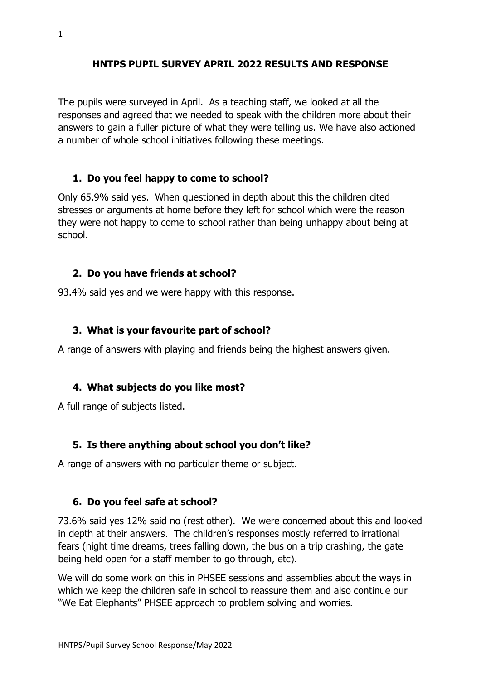#### **HNTPS PUPIL SURVEY APRIL 2022 RESULTS AND RESPONSE**

The pupils were surveyed in April. As a teaching staff, we looked at all the responses and agreed that we needed to speak with the children more about their answers to gain a fuller picture of what they were telling us. We have also actioned a number of whole school initiatives following these meetings.

#### **1. Do you feel happy to come to school?**

Only 65.9% said yes. When questioned in depth about this the children cited stresses or arguments at home before they left for school which were the reason they were not happy to come to school rather than being unhappy about being at school.

#### **2. Do you have friends at school?**

93.4% said yes and we were happy with this response.

#### **3. What is your favourite part of school?**

A range of answers with playing and friends being the highest answers given.

#### **4. What subjects do you like most?**

A full range of subjects listed.

## **5. Is there anything about school you don't like?**

A range of answers with no particular theme or subject.

#### **6. Do you feel safe at school?**

73.6% said yes 12% said no (rest other). We were concerned about this and looked in depth at their answers. The children's responses mostly referred to irrational fears (night time dreams, trees falling down, the bus on a trip crashing, the gate being held open for a staff member to go through, etc).

We will do some work on this in PHSEE sessions and assemblies about the ways in which we keep the children safe in school to reassure them and also continue our "We Eat Elephants" PHSEE approach to problem solving and worries.